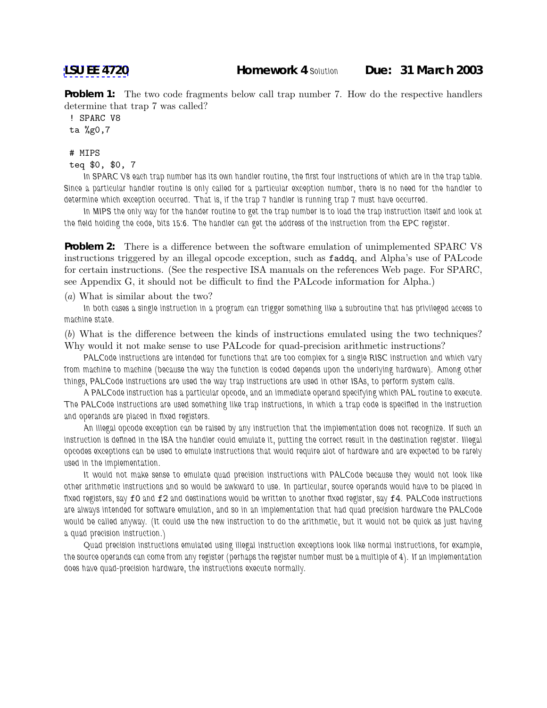**Problem 1:** The two code fragments below call trap number 7. How do the respective handlers determine that trap 7 was called?

! SPARC V8

## ta %g0,7

## # MIPS

```
teq $0, $0, 7
```
*In SPARC V8 each trap number has its own handler routine, the first four instructions of which are in the trap table. Since a particular handler routine is only called for a particular exception number, there is no need for the handler to determine which exception occurred. That is, if the trap 7 handler is running trap 7 must have occurred.*

*In MIPS the only way for the hander routine to get the trap number is to load the trap instruction itself and look at the field holding the code, bits 15:6. The handler can get the address of the instruction from the EPC register.*

**Problem 2:** There is a difference between the software emulation of unimplemented SPARC V8 instructions triggered by an illegal opcode exception, such as faddq, and Alpha's use of PALcode for certain instructions. (See the respective ISA manuals on the references Web page. For SPARC, see Appendix G, it should not be difficult to find the PALcode information for Alpha.)

(a) What is similar about the two?

*In both cases a single instruction in a program can trigger something like a subroutine that has privileged access to machine state.*

(b) What is the difference between the kinds of instructions emulated using the two techniques? Why would it not make sense to use PALcode for quad-precision arithmetic instructions?

*PALCode instructions are intended for functions that are too complex for a single RISC instruction and which vary from machine to machine (because the way the function is coded depends upon the underlying hardware). Among other things, PALCode instructions are used the way trap instructions are used in other ISAs, to perform system calls.*

*A PALCode instruction has a particular opcode, and an immediate operand specifying which PAL routine to execute. The PALCode instructions are used something like trap instructions, in which a trap code is specified in the instruction and operands are placed in fixed registers.*

*An illegal opcode exception can be raised by any instruction that the implementation does not recognize. If such an instruction is defined in the ISA the handler could emulate it, putting the correct result in the destination register. Illegal opcodes exceptions can be used to emulate instructions that would require alot of hardware and are expected to be rarely used in the implementation.*

*It would not make sense to emulate quad precision instructions with PALCode because they would not look like other arithmetic instructions and so would be awkward to use. In particular, source operands would have to be placed in fixed registers, say* f0 *and* f2 *and destinations would be written to another fixed register, say* f4*. PALCode instructions are always intended for software emulation, and so in an implementation that had quad precision hardware the PALCode would be called anyway. (It could use the new instruction to do the arithmetic, but it would not be quick as just having a quad precision instruction.)*

*Quad precision instructions emulated using illegal instruction exceptions look like normal instructions, for example, the source operands can come from any register (perhaps the register number must be a multiple of 4). If an implementation does have quad-precision hardware, the instructions execute normally.*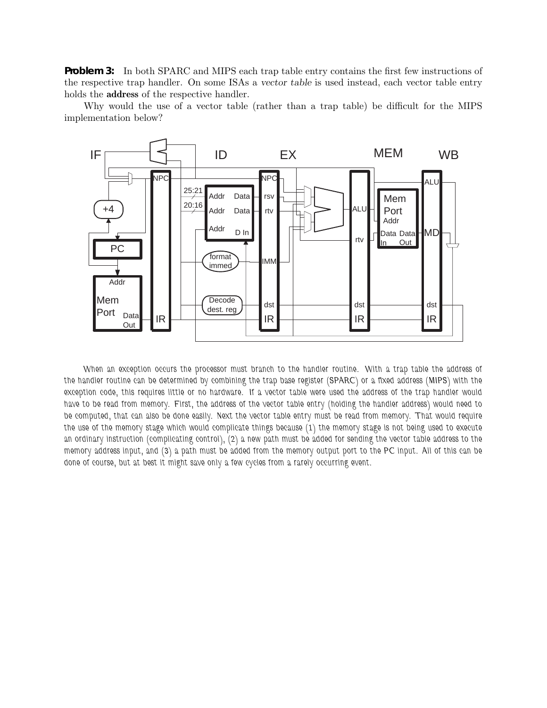**Problem 3:** In both SPARC and MIPS each trap table entry contains the first few instructions of the respective trap handler. On some ISAs a *vector table* is used instead, each vector table entry holds the **address** of the respective handler.

Why would the use of a vector table (rather than a trap table) be difficult for the MIPS implementation below?



*When an exception occurs the processor must branch to the handler routine. With a trap table the address of the handler routine can be determined by combining the trap base register (SPARC) or a fixed address (MIPS) with the exception code, this requires little or no hardware. If a vector table were used the address of the trap handler would have to be read from memory. First, the address of the vector table entry (holding the handler address) would need to be computed, that can also be done easily. Next the vector table entry must be read from memory. That would require the use of the memory stage which would complicate things because (1) the memory stage is not being used to execute an ordinary instruction (complicating control), (2) a new path must be added for sending the vector table address to the memory address input, and (3) a path must be added from the memory output port to the PC input. All of this can be done of course, but at best it might save only a few cycles from a rarely occurring event.*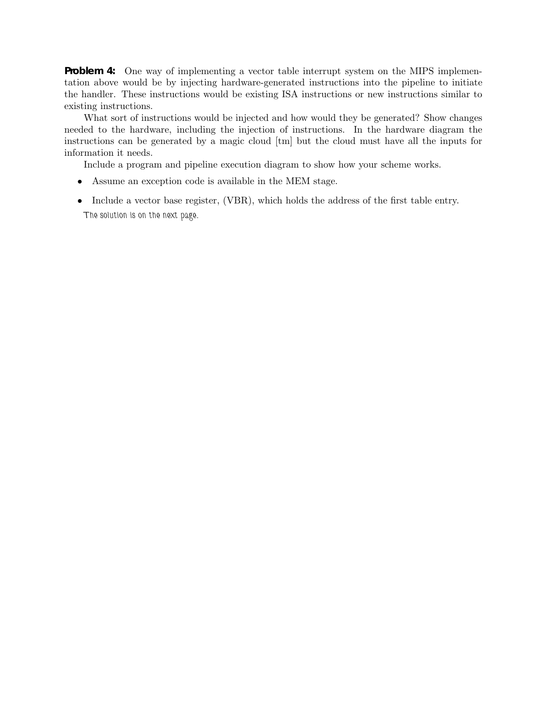**Problem 4:** One way of implementing a vector table interrupt system on the MIPS implementation above would be by injecting hardware-generated instructions into the pipeline to initiate the handler. These instructions would be existing ISA instructions or new instructions similar to existing instructions.

What sort of instructions would be injected and how would they be generated? Show changes needed to the hardware, including the injection of instructions. In the hardware diagram the instructions can be generated by a magic cloud [tm] but the cloud must have all the inputs for information it needs.

Include a program and pipeline execution diagram to show how your scheme works.

- Assume an exception code is available in the MEM stage.
- Include a vector base register, (VBR), which holds the address of the first table entry. *The solution is on the next page.*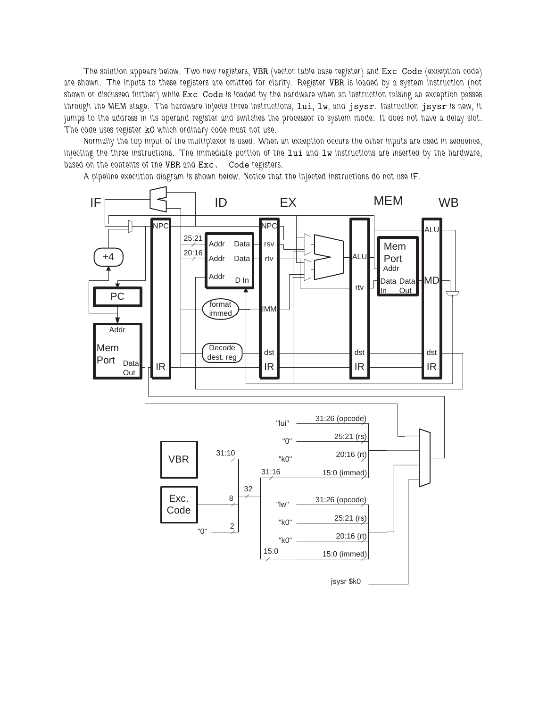*The solution appears below. Two new registers,* VBR *(vector table base register) and* Exc Code *(exception code) are shown. The inputs to these registers are omitted for clarity. Register* VBR *is loaded by a system instruction (not shown or discussed further) while* Exc Code *is loaded by the hardware when an instruction raising an exception passes through the MEM stage. The hardware injects three instructions,* lui*,* lw*, and* jsysr*. Instruction* jsysr *is new, it jumps to the address in its operand register and switches the processor to system mode. It does not have a delay slot. The code uses register* k0 *which ordinary code must not use.*

*Normally the top input of the multiplexor is used. When an exception occurs the other inputs are used in sequence, injecting the three instructions. The immediate portion of the* lui *and* lw *instructions are inserted by the hardware, based on the contents of the* VBR *and* Exc. Code *registers.*

*A pipeline execution diagram is shown below. Notice that the injected instructions do not use IF.*